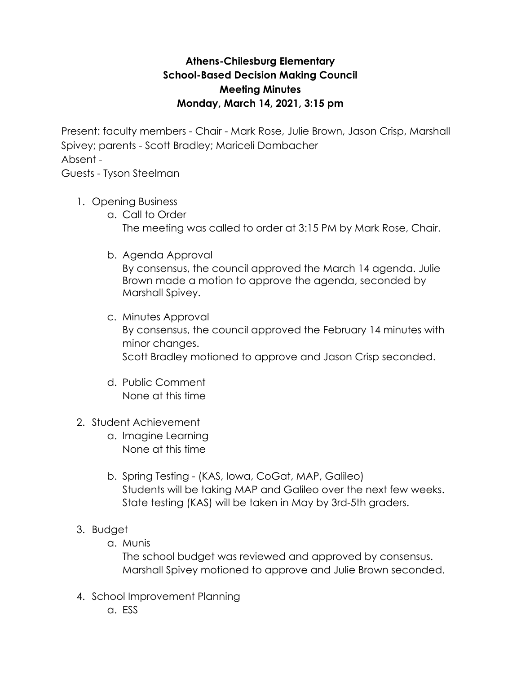## **Athens-Chilesburg Elementary School-Based Decision Making Council Meeting Minutes Monday, March 14, 2021, 3:15 pm**

Present: faculty members - Chair - Mark Rose, Julie Brown, Jason Crisp, Marshall Spivey; parents - Scott Bradley; Mariceli Dambacher Absent -

Guests - Tyson Steelman

- 1. Opening Business
	- a. Call to Order The meeting was called to order at 3:15 PM by Mark Rose, Chair.
	- b. Agenda Approval

By consensus, the council approved the March 14 agenda. Julie Brown made a motion to approve the agenda, seconded by Marshall Spivey.

- c. Minutes Approval By consensus, the council approved the February 14 minutes with minor changes. Scott Bradley motioned to approve and Jason Crisp seconded.
- d. Public Comment None at this time
- 2. Student Achievement
	- a. Imagine Learning None at this time
	- b. Spring Testing (KAS, Iowa, CoGat, MAP, Galileo) Students will be taking MAP and Galileo over the next few weeks. State testing (KAS) will be taken in May by 3rd-5th graders.
- 3. Budget
	- a. Munis

The school budget was reviewed and approved by consensus. Marshall Spivey motioned to approve and Julie Brown seconded.

- 4. School Improvement Planning
	- a. ESS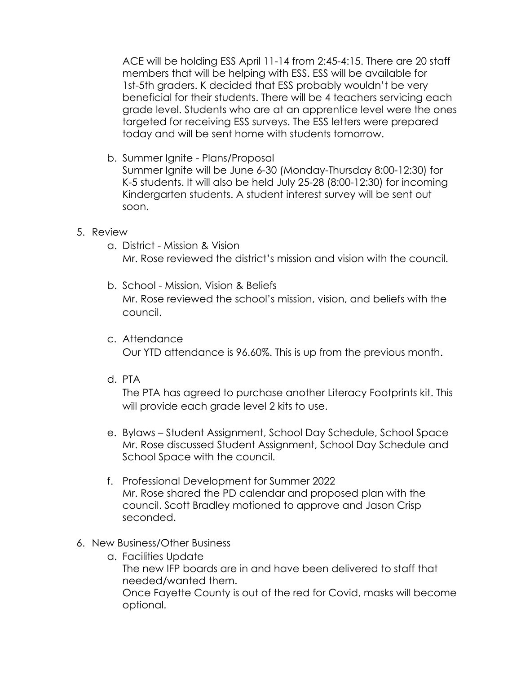ACE will be holding ESS April 11-14 from 2:45-4:15. There are 20 staff members that will be helping with ESS. ESS will be available for 1st-5th graders. K decided that ESS probably wouldn't be very beneficial for their students. There will be 4 teachers servicing each grade level. Students who are at an apprentice level were the ones targeted for receiving ESS surveys. The ESS letters were prepared today and will be sent home with students tomorrow.

b. Summer Ignite - Plans/Proposal

Summer Ignite will be June 6-30 (Monday-Thursday 8:00-12:30) for K-5 students. It will also be held July 25-28 (8:00-12:30) for incoming Kindergarten students. A student interest survey will be sent out soon.

## 5. Review

- a. District Mission & Vision Mr. Rose reviewed the district's mission and vision with the council.
- b. School Mission, Vision & Beliefs Mr. Rose reviewed the school's mission, vision, and beliefs with the council.
- c. Attendance

Our YTD attendance is 96.60%. This is up from the previous month.

d. PTA

The PTA has agreed to purchase another Literacy Footprints kit. This will provide each grade level 2 kits to use.

- e. Bylaws Student Assignment, School Day Schedule, School Space Mr. Rose discussed Student Assignment, School Day Schedule and School Space with the council.
- f. Professional Development for Summer 2022 Mr. Rose shared the PD calendar and proposed plan with the council. Scott Bradley motioned to approve and Jason Crisp seconded.

## 6. New Business/Other Business

a. Facilities Update The new IFP boards are in and have been delivered to staff that needed/wanted them. Once Fayette County is out of the red for Covid, masks will become optional.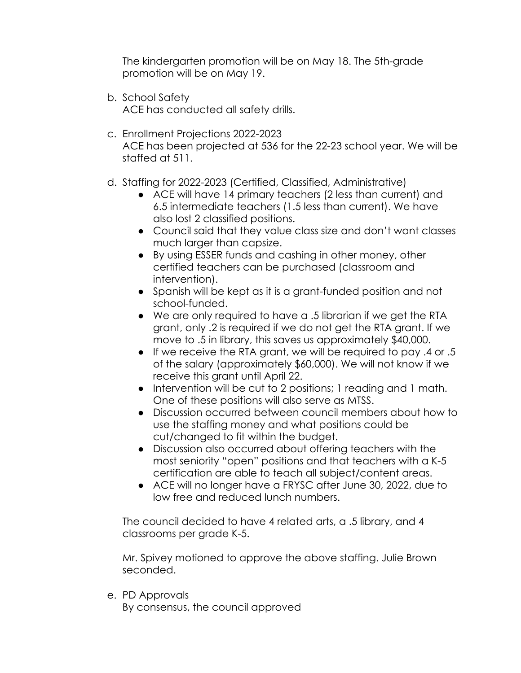The kindergarten promotion will be on May 18. The 5th-grade promotion will be on May 19.

b. School Safety

ACE has conducted all safety drills.

- c. Enrollment Projections 2022-2023 ACE has been projected at 536 for the 22-23 school year. We will be staffed at 511.
- d. Staffing for 2022-2023 (Certified, Classified, Administrative)
	- ACE will have 14 primary teachers (2 less than current) and 6.5 intermediate teachers (1.5 less than current). We have also lost 2 classified positions.
	- Council said that they value class size and don't want classes much larger than capsize.
	- By using ESSER funds and cashing in other money, other certified teachers can be purchased (classroom and intervention).
	- Spanish will be kept as it is a grant-funded position and not school-funded.
	- We are only required to have a .5 librarian if we get the RTA grant, only .2 is required if we do not get the RTA grant. If we move to .5 in library, this saves us approximately \$40,000.
	- If we receive the RTA grant, we will be required to pay .4 or .5 of the salary (approximately \$60,000). We will not know if we receive this grant until April 22.
	- Intervention will be cut to 2 positions; 1 reading and 1 math. One of these positions will also serve as MTSS.
	- Discussion occurred between council members about how to use the staffing money and what positions could be cut/changed to fit within the budget.
	- Discussion also occurred about offering teachers with the most seniority "open" positions and that teachers with a K-5 certification are able to teach all subject/content areas.
	- ACE will no longer have a FRYSC after June 30, 2022, due to low free and reduced lunch numbers.

The council decided to have 4 related arts, a .5 library, and 4 classrooms per grade K-5.

Mr. Spivey motioned to approve the above staffing. Julie Brown seconded.

e. PD Approvals

By consensus, the council approved